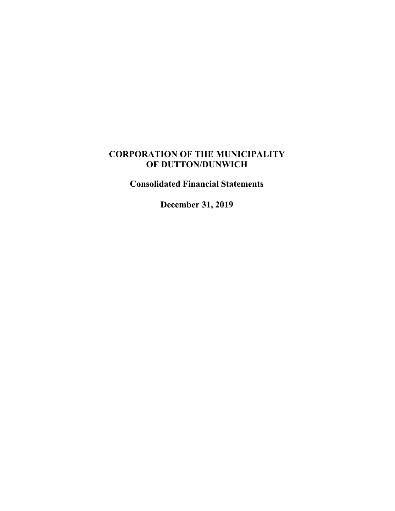## **CORPORATION OF THE MUNICIPALITY OF DUTTON/DUNWICH**

**Consolidated Financial Statements**

**December 31, 2019**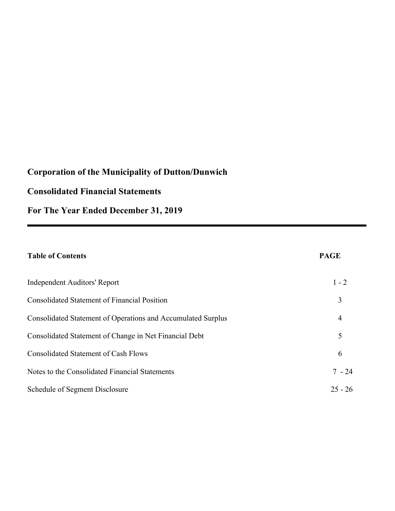## **Consolidated Financial Statements**

**For The Year Ended December 31, 2019**

| <b>Table of Contents</b>                                     | <b>PAGE</b>    |
|--------------------------------------------------------------|----------------|
| Independent Auditors' Report                                 | $1 - 2$        |
| <b>Consolidated Statement of Financial Position</b>          | 3              |
| Consolidated Statement of Operations and Accumulated Surplus | $\overline{4}$ |
| Consolidated Statement of Change in Net Financial Debt       | 5              |
| <b>Consolidated Statement of Cash Flows</b>                  | 6              |
| Notes to the Consolidated Financial Statements               | $7 - 24$       |
| Schedule of Segment Disclosure                               | $25 - 26$      |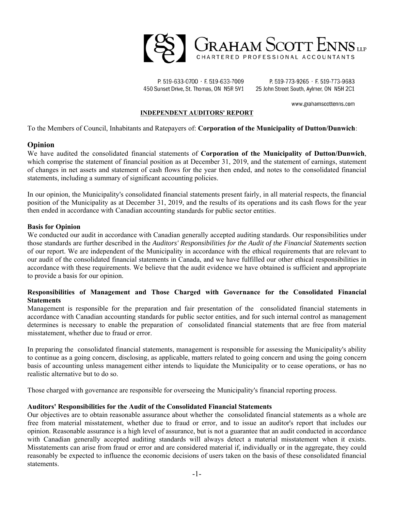

P. 519-633-0700 · F. 519-633-7009 450 Sunset Drive, St. Thomas, ON N5R 5V1

P. 519-773-9265 · F. 519-773-9683 25 John Street South, Aylmer, ON N5H 2C1

www.grahamscottenns.com

#### **INDEPENDENT AUDITORS' REPORT**

To the Members of Council, Inhabitants and Ratepayers of: **Corporation of the Municipality of Dutton/Dunwich**:

#### **Opinion**

We have audited the consolidated financial statements of **Corporation of the Municipality of Dutton/Dunwich**, which comprise the statement of financial position as at December 31, 2019, and the statement of earnings, statement of changes in net assets and statement of cash flows for the year then ended, and notes to the consolidated financial statements, including a summary of significant accounting policies.

In our opinion, the Municipality's consolidated financial statements present fairly, in all material respects, the financial position of the Municipality as at December 31, 2019, and the results of its operations and its cash flows for the year then ended in accordance with Canadian accounting standards for public sector entities.

#### **Basis for Opinion**

We conducted our audit in accordance with Canadian generally accepted auditing standards. Our responsibilities under those standards are further described in the *Auditors' Responsibilities for the Audit of the Financial Statements* section of our report. We are independent of the Municipality in accordance with the ethical requirements that are relevant to our audit of the consolidated financial statements in Canada, and we have fulfilled our other ethical responsibilities in accordance with these requirements. We believe that the audit evidence we have obtained is sufficient and appropriate to provide a basis for our opinion.

#### **Responsibilities of Management and Those Charged with Governance for the Consolidated Financial Statements**

Management is responsible for the preparation and fair presentation of the consolidated financial statements in accordance with Canadian accounting standards for public sector entities, and for such internal control as management determines is necessary to enable the preparation of consolidated financial statements that are free from material misstatement, whether due to fraud or error.

In preparing the consolidated financial statements, management is responsible for assessing the Municipality's ability to continue as a going concern, disclosing, as applicable, matters related to going concern and using the going concern basis of accounting unless management either intends to liquidate the Municipality or to cease operations, or has no realistic alternative but to do so.

Those charged with governance are responsible for overseeing the Municipality's financial reporting process.

#### **Auditors' Responsibilities for the Audit of the Consolidated Financial Statements**

Our objectives are to obtain reasonable assurance about whether the consolidated financial statements as a whole are free from material misstatement, whether due to fraud or error, and to issue an auditor's report that includes our opinion. Reasonable assurance is a high level of assurance, but is not a guarantee that an audit conducted in accordance with Canadian generally accepted auditing standards will always detect a material misstatement when it exists. Misstatements can arise from fraud or error and are considered material if, individually or in the aggregate, they could reasonably be expected to influence the economic decisions of users taken on the basis of these consolidated financial statements.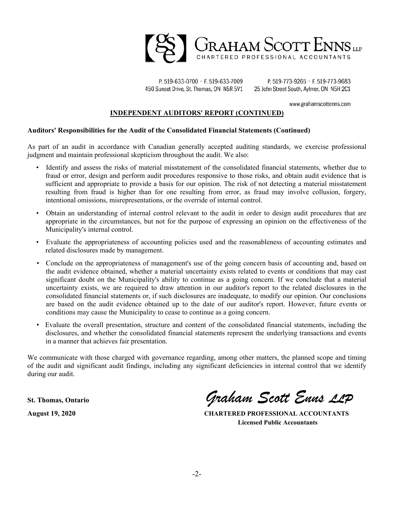

P. 519-633-0700 · F. 519-633-7009 450 Sunset Drive, St. Thomas, ON N5R 5V1

P. 519-773-9265 · F. 519-773-9683 25 John Street South, Aylmer, ON N5H 2C1

www.grahamscottenns.com

#### **INDEPENDENT AUDITORS' REPORT (CONTINUED)**

#### **Auditors' Responsibilities for the Audit of the Consolidated Financial Statements (Continued)**

As part of an audit in accordance with Canadian generally accepted auditing standards, we exercise professional judgment and maintain professional skepticism throughout the audit. We also:

- Identify and assess the risks of material misstatement of the consolidated financial statements, whether due to fraud or error, design and perform audit procedures responsive to those risks, and obtain audit evidence that is sufficient and appropriate to provide a basis for our opinion. The risk of not detecting a material misstatement resulting from fraud is higher than for one resulting from error, as fraud may involve collusion, forgery, intentional omissions, misrepresentations, or the override of internal control.
- Obtain an understanding of internal control relevant to the audit in order to design audit procedures that are appropriate in the circumstances, but not for the purpose of expressing an opinion on the effectiveness of the Municipality's internal control.
- Evaluate the appropriateness of accounting policies used and the reasonableness of accounting estimates and related disclosures made by management.
- Conclude on the appropriateness of management's use of the going concern basis of accounting and, based on the audit evidence obtained, whether a material uncertainty exists related to events or conditions that may cast significant doubt on the Municipality's ability to continue as a going concern. If we conclude that a material uncertainty exists, we are required to draw attention in our auditor's report to the related disclosures in the consolidated financial statements or, if such disclosures are inadequate, to modify our opinion. Our conclusions are based on the audit evidence obtained up to the date of our auditor's report. However, future events or conditions may cause the Municipality to cease to continue as a going concern.
- Evaluate the overall presentation, structure and content of the consolidated financial statements, including the disclosures, and whether the consolidated financial statements represent the underlying transactions and events in a manner that achieves fair presentation.

We communicate with those charged with governance regarding, among other matters, the planned scope and timing of the audit and significant audit findings, including any significant deficiencies in internal control that we identify during our audit.

**St. Thomas, Ontario** *Graham Scott Enns LLP*

**August 19, 2020 CHARTERED PROFESSIONAL ACCOUNTANTS Licensed Public Accountants**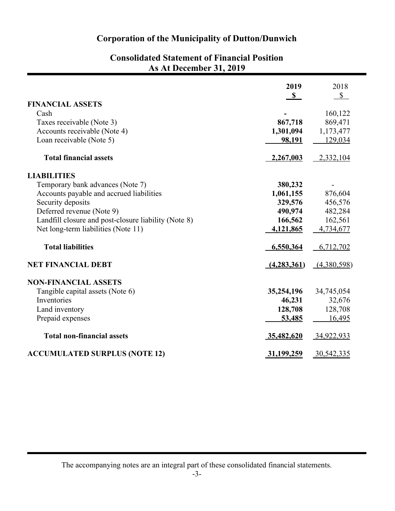| Consolidated Statement of Financial Position<br>As At December 31, 2019 |              |              |  |
|-------------------------------------------------------------------------|--------------|--------------|--|
|                                                                         | 2019         | 2018         |  |
|                                                                         | $\mathbf{s}$ | $\mathbb{S}$ |  |
| <b>FINANCIAL ASSETS</b>                                                 |              |              |  |
| Cash                                                                    |              | 160,122      |  |
| Taxes receivable (Note 3)                                               | 867,718      | 869,471      |  |
| Accounts receivable (Note 4)                                            | 1,301,094    | 1,173,477    |  |
| Loan receivable (Note 5)                                                | 98,191       | 129,034      |  |
| <b>Total financial assets</b>                                           | 2,267,003    | 2,332,104    |  |
| <b>LIABILITIES</b>                                                      |              |              |  |
| Temporary bank advances (Note 7)                                        | 380,232      |              |  |
| Accounts payable and accrued liabilities                                | 1,061,155    | 876,604      |  |
| Security deposits                                                       | 329,576      | 456,576      |  |
| Deferred revenue (Note 9)                                               | 490,974      | 482,284      |  |
| Landfill closure and post-closure liability (Note 8)                    | 166,562      | 162,561      |  |
| Net long-term liabilities (Note 11)                                     | 4,121,865    | 4,734,677    |  |

# **Consolidated Statement of Financial Position**

| 6,550,364   | 6,712,702   |
|-------------|-------------|
| (4,283,361) | (4,380,598) |
|             |             |
| 35,254,196  | 34,745,054  |
| 46,231      | 32,676      |
| 128,708     | 128,708     |
| 53,485      | 16,495      |
| 35,482,620  | 34,922,933  |
| 31,199,259  | 30,542,335  |
|             |             |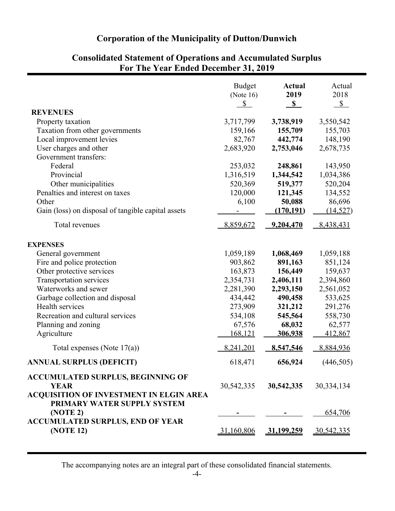|                                                                                                           | <b>Budget</b><br>(Note $16$ )<br>$\mathbb{S}$ | <b>Actual</b><br>2019<br>S | Actual<br>2018<br>$\mathcal{S}$ |
|-----------------------------------------------------------------------------------------------------------|-----------------------------------------------|----------------------------|---------------------------------|
| <b>REVENUES</b>                                                                                           |                                               |                            |                                 |
| Property taxation                                                                                         | 3,717,799                                     | 3,738,919                  | 3,550,542                       |
| Taxation from other governments                                                                           | 159,166                                       | 155,709                    | 155,703                         |
| Local improvement levies                                                                                  | 82,767                                        | 442,774                    | 148,190                         |
| User charges and other                                                                                    | 2,683,920                                     | 2,753,046                  | 2,678,735                       |
| Government transfers:                                                                                     |                                               |                            |                                 |
| Federal                                                                                                   | 253,032                                       | 248,861                    | 143,950                         |
| Provincial                                                                                                | 1,316,519                                     | 1,344,542                  | 1,034,386                       |
| Other municipalities                                                                                      | 520,369                                       | 519,377                    | 520,204                         |
| Penalties and interest on taxes                                                                           | 120,000                                       | 121,345                    | 134,552                         |
| Other                                                                                                     | 6,100                                         | 50,088                     | 86,696                          |
| Gain (loss) on disposal of tangible capital assets                                                        |                                               | (170, 191)                 | (14, 527)                       |
| Total revenues                                                                                            | 8,859,672                                     | 9,204,470                  | 8,438,431                       |
| <b>EXPENSES</b>                                                                                           |                                               |                            |                                 |
| General government                                                                                        | 1,059,189                                     | 1,068,469                  | 1,059,188                       |
| Fire and police protection                                                                                | 903,862                                       | 891,163                    | 851,124                         |
| Other protective services                                                                                 | 163,873                                       | 156,449                    | 159,637                         |
| Transportation services                                                                                   | 2,354,731                                     | 2,406,111                  | 2,394,860                       |
| Waterworks and sewer                                                                                      | 2,281,390                                     | 2,293,150                  | 2,561,052                       |
| Garbage collection and disposal                                                                           | 434,442                                       | 490,458                    | 533,625                         |
| Health services                                                                                           | 273,909                                       | 321,212                    | 291,276                         |
| Recreation and cultural services                                                                          | 534,108                                       | 545,564                    | 558,730                         |
| Planning and zoning                                                                                       | 67,576                                        | 68,032                     | 62,577                          |
| Agriculture                                                                                               | 168,121                                       | 306,938                    | 412,867                         |
| Total expenses (Note $17(a)$ )                                                                            | 8,241,201                                     | 8,547,546                  | 8,884,936                       |
| <b>ANNUAL SURPLUS (DEFICIT)</b>                                                                           | 618,471                                       | 656,924                    | (446, 505)                      |
| <b>ACCUMULATED SURPLUS, BEGINNING OF</b><br><b>YEAR</b><br><b>ACQUISITION OF INVESTMENT IN ELGIN AREA</b> | 30, 542, 335                                  | 30,542,335                 | 30,334,134                      |
| PRIMARY WATER SUPPLY SYSTEM<br>(NOTE 2)<br><b>ACCUMULATED SURPLUS, END OF YEAR</b>                        |                                               |                            | 654,706                         |
| <b>(NOTE 12)</b>                                                                                          | 31,160,806                                    | 31,199,259                 | 30,542,335                      |

## **Consolidated Statement of Operations and Accumulated Surplus For The Year Ended December 31, 2019**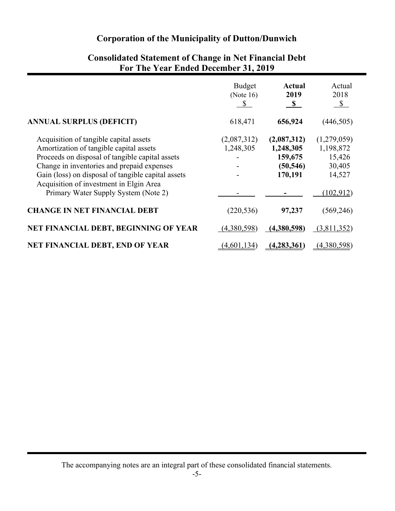|                                                                                                                                                                                                                                                                                                                             | <b>Budget</b><br>(Note $16$ )<br>$\mathbf{\mathcal{S}}$ | <b>Actual</b><br>2019<br>$\mathbf{s}$                       | Actual<br>2018<br>$\mathbb{S}$                                      |
|-----------------------------------------------------------------------------------------------------------------------------------------------------------------------------------------------------------------------------------------------------------------------------------------------------------------------------|---------------------------------------------------------|-------------------------------------------------------------|---------------------------------------------------------------------|
| <b>ANNUAL SURPLUS (DEFICIT)</b>                                                                                                                                                                                                                                                                                             | 618,471                                                 | 656,924                                                     | (446, 505)                                                          |
| Acquisition of tangible capital assets<br>Amortization of tangible capital assets<br>Proceeds on disposal of tangible capital assets<br>Change in inventories and prepaid expenses<br>Gain (loss) on disposal of tangible capital assets<br>Acquisition of investment in Elgin Area<br>Primary Water Supply System (Note 2) | (2,087,312)<br>1,248,305                                | (2,087,312)<br>1,248,305<br>159,675<br>(50, 546)<br>170,191 | (1,279,059)<br>1,198,872<br>15,426<br>30,405<br>14,527<br>(102,912) |
| <b>CHANGE IN NET FINANCIAL DEBT</b>                                                                                                                                                                                                                                                                                         | (220, 536)                                              | 97,237                                                      | (569, 246)                                                          |
| NET FINANCIAL DEBT, BEGINNING OF YEAR                                                                                                                                                                                                                                                                                       | (4,380,598)                                             | (4,380,598)                                                 | (3,811,352)                                                         |
| NET FINANCIAL DEBT, END OF YEAR                                                                                                                                                                                                                                                                                             | (4,601,134)                                             | (4, 283, 361)                                               | (4,380,598)                                                         |

## **Consolidated Statement of Change in Net Financial Debt For The Year Ended December 31, 2019**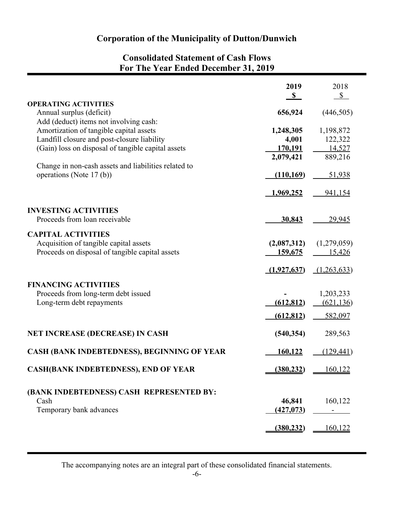## **Consolidated Statement of Cash Flows For The Year Ended December 31, 2019**

| <b>OPERATING ACTIVITIES</b>                                                                                                                                                                                                                                               | 2019<br>$\mathbf{s}$                                     | 2018<br>$\mathbb{S}$                                |
|---------------------------------------------------------------------------------------------------------------------------------------------------------------------------------------------------------------------------------------------------------------------------|----------------------------------------------------------|-----------------------------------------------------|
| Annual surplus (deficit)                                                                                                                                                                                                                                                  | 656,924                                                  | (446,505)                                           |
| Add (deduct) items not involving cash:<br>Amortization of tangible capital assets<br>Landfill closure and post-closure liability<br>(Gain) loss on disposal of tangible capital assets<br>Change in non-cash assets and liabilities related to<br>operations (Note 17(b)) | 1,248,305<br>4,001<br>170,191<br>2,079,421<br>(110, 169) | 1,198,872<br>122,322<br>14,527<br>889,216<br>51,938 |
|                                                                                                                                                                                                                                                                           | 1,969,252                                                | <u>941,154</u>                                      |
| <b>INVESTING ACTIVITIES</b><br>Proceeds from loan receivable                                                                                                                                                                                                              | 30,843                                                   | 29,945                                              |
| <b>CAPITAL ACTIVITIES</b><br>Acquisition of tangible capital assets<br>Proceeds on disposal of tangible capital assets                                                                                                                                                    | (2,087,312)<br>159,675                                   | (1,279,059)<br>15,426                               |
|                                                                                                                                                                                                                                                                           | (1,927,637)                                              | (1,263,633)                                         |
| <b>FINANCING ACTIVITIES</b><br>Proceeds from long-term debt issued<br>Long-term debt repayments                                                                                                                                                                           | (612, 812)<br>(612, 812)                                 | 1,203,233<br>(621, 136)<br>582,097                  |
| <b>NET INCREASE (DECREASE) IN CASH</b>                                                                                                                                                                                                                                    | (540, 354)                                               | 289,563                                             |
| <b>CASH (BANK INDEBTEDNESS), BEGINNING OF YEAR</b>                                                                                                                                                                                                                        | 160,122                                                  | (129, 441)                                          |
| <b>CASH(BANK INDEBTEDNESS), END OF YEAR</b>                                                                                                                                                                                                                               | (380, 232)                                               | 160,122                                             |
| (BANK INDEBTEDNESS) CASH REPRESENTED BY:<br>Cash<br>Temporary bank advances                                                                                                                                                                                               | 46,841<br>(427, 073)                                     | 160,122                                             |
|                                                                                                                                                                                                                                                                           | (380, 232)                                               | 160,122                                             |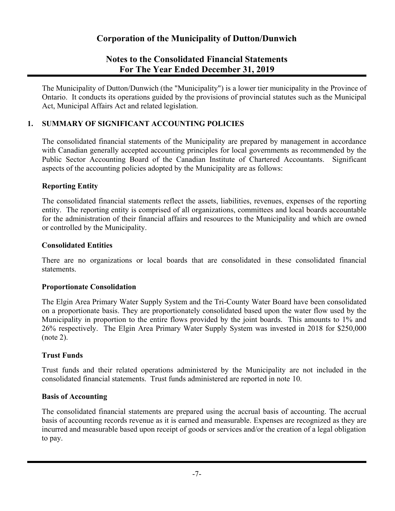## **Notes to the Consolidated Financial Statements For The Year Ended December 31, 2019**

The Municipality of Dutton/Dunwich (the "Municipality") is a lower tier municipality in the Province of Ontario. It conducts its operations guided by the provisions of provincial statutes such as the Municipal Act, Municipal Affairs Act and related legislation.

#### **1. SUMMARY OF SIGNIFICANT ACCOUNTING POLICIES**

The consolidated financial statements of the Municipality are prepared by management in accordance with Canadian generally accepted accounting principles for local governments as recommended by the Public Sector Accounting Board of the Canadian Institute of Chartered Accountants. Significant aspects of the accounting policies adopted by the Municipality are as follows:

#### **Reporting Entity**

The consolidated financial statements reflect the assets, liabilities, revenues, expenses of the reporting entity. The reporting entity is comprised of all organizations, committees and local boards accountable for the administration of their financial affairs and resources to the Municipality and which are owned or controlled by the Municipality.

#### **Consolidated Entities**

There are no organizations or local boards that are consolidated in these consolidated financial statements.

#### **Proportionate Consolidation**

The Elgin Area Primary Water Supply System and the Tri-County Water Board have been consolidated on a proportionate basis. They are proportionately consolidated based upon the water flow used by the Municipality in proportion to the entire flows provided by the joint boards. This amounts to 1% and 26% respectively. The Elgin Area Primary Water Supply System was invested in 2018 for \$250,000 (note 2).

#### **Trust Funds**

Trust funds and their related operations administered by the Municipality are not included in the consolidated financial statements. Trust funds administered are reported in note 10.

#### **Basis of Accounting**

The consolidated financial statements are prepared using the accrual basis of accounting. The accrual basis of accounting records revenue as it is earned and measurable. Expenses are recognized as they are incurred and measurable based upon receipt of goods or services and/or the creation of a legal obligation to pay.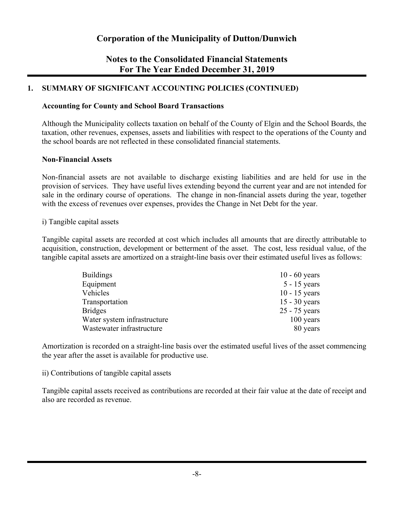## **Notes to the Consolidated Financial Statements For The Year Ended December 31, 2019**

#### **1. SUMMARY OF SIGNIFICANT ACCOUNTING POLICIES (CONTINUED)**

#### **Accounting for County and School Board Transactions**

Although the Municipality collects taxation on behalf of the County of Elgin and the School Boards, the taxation, other revenues, expenses, assets and liabilities with respect to the operations of the County and the school boards are not reflected in these consolidated financial statements.

#### **Non-Financial Assets**

Non-financial assets are not available to discharge existing liabilities and are held for use in the provision of services. They have useful lives extending beyond the current year and are not intended for sale in the ordinary course of operations. The change in non-financial assets during the year, together with the excess of revenues over expenses, provides the Change in Net Debt for the year.

#### i) Tangible capital assets

Tangible capital assets are recorded at cost which includes all amounts that are directly attributable to acquisition, construction, development or betterment of the asset. The cost, less residual value, of the tangible capital assets are amortized on a straight-line basis over their estimated useful lives as follows:

| $10 - 60$ years |
|-----------------|
| $5 - 15$ years  |
| $10 - 15$ years |
| $15 - 30$ years |
| 25 - 75 years   |
| 100 years       |
| 80 years        |
|                 |

Amortization is recorded on a straight-line basis over the estimated useful lives of the asset commencing the year after the asset is available for productive use.

#### ii) Contributions of tangible capital assets

Tangible capital assets received as contributions are recorded at their fair value at the date of receipt and also are recorded as revenue.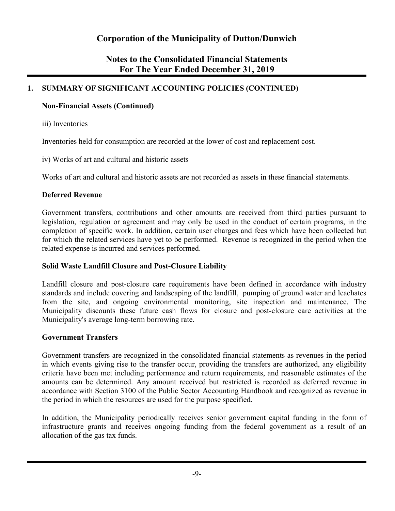## **Notes to the Consolidated Financial Statements For The Year Ended December 31, 2019**

## **1. SUMMARY OF SIGNIFICANT ACCOUNTING POLICIES (CONTINUED)**

#### **Non-Financial Assets (Continued)**

iii) Inventories

Inventories held for consumption are recorded at the lower of cost and replacement cost.

iv) Works of art and cultural and historic assets

Works of art and cultural and historic assets are not recorded as assets in these financial statements.

#### **Deferred Revenue**

Government transfers, contributions and other amounts are received from third parties pursuant to legislation, regulation or agreement and may only be used in the conduct of certain programs, in the completion of specific work. In addition, certain user charges and fees which have been collected but for which the related services have yet to be performed. Revenue is recognized in the period when the related expense is incurred and services performed.

#### **Solid Waste Landfill Closure and Post-Closure Liability**

Landfill closure and post-closure care requirements have been defined in accordance with industry standards and include covering and landscaping of the landfill, pumping of ground water and leachates from the site, and ongoing environmental monitoring, site inspection and maintenance. The Municipality discounts these future cash flows for closure and post-closure care activities at the Municipality's average long-term borrowing rate.

#### **Government Transfers**

Government transfers are recognized in the consolidated financial statements as revenues in the period in which events giving rise to the transfer occur, providing the transfers are authorized, any eligibility criteria have been met including performance and return requirements, and reasonable estimates of the amounts can be determined. Any amount received but restricted is recorded as deferred revenue in accordance with Section 3100 of the Public Sector Accounting Handbook and recognized as revenue in the period in which the resources are used for the purpose specified.

In addition, the Municipality periodically receives senior government capital funding in the form of infrastructure grants and receives ongoing funding from the federal government as a result of an allocation of the gas tax funds.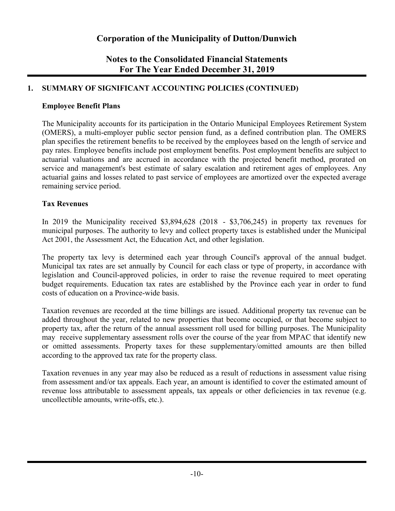## **Notes to the Consolidated Financial Statements For The Year Ended December 31, 2019**

#### **1. SUMMARY OF SIGNIFICANT ACCOUNTING POLICIES (CONTINUED)**

#### **Employee Benefit Plans**

The Municipality accounts for its participation in the Ontario Municipal Employees Retirement System (OMERS), a multi-employer public sector pension fund, as a defined contribution plan. The OMERS plan specifies the retirement benefits to be received by the employees based on the length of service and pay rates. Employee benefits include post employment benefits. Post employment benefits are subject to actuarial valuations and are accrued in accordance with the projected benefit method, prorated on service and management's best estimate of salary escalation and retirement ages of employees. Any actuarial gains and losses related to past service of employees are amortized over the expected average remaining service period.

#### **Tax Revenues**

In 2019 the Municipality received \$3,894,628 (2018 - \$3,706,245) in property tax revenues for municipal purposes. The authority to levy and collect property taxes is established under the Municipal Act 2001, the Assessment Act, the Education Act, and other legislation.

The property tax levy is determined each year through Council's approval of the annual budget. Municipal tax rates are set annually by Council for each class or type of property, in accordance with legislation and Council-approved policies, in order to raise the revenue required to meet operating budget requirements. Education tax rates are established by the Province each year in order to fund costs of education on a Province-wide basis.

Taxation revenues are recorded at the time billings are issued. Additional property tax revenue can be added throughout the year, related to new properties that become occupied, or that become subject to property tax, after the return of the annual assessment roll used for billing purposes. The Municipality may receive supplementary assessment rolls over the course of the year from MPAC that identify new or omitted assessments. Property taxes for these supplementary/omitted amounts are then billed according to the approved tax rate for the property class.

Taxation revenues in any year may also be reduced as a result of reductions in assessment value rising from assessment and/or tax appeals. Each year, an amount is identified to cover the estimated amount of revenue loss attributable to assessment appeals, tax appeals or other deficiencies in tax revenue (e.g. uncollectible amounts, write-offs, etc.).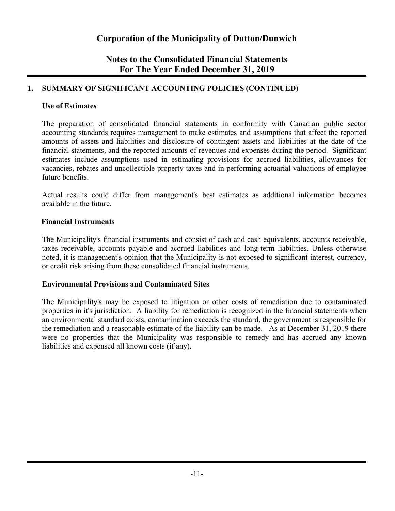## **Notes to the Consolidated Financial Statements For The Year Ended December 31, 2019**

#### **1. SUMMARY OF SIGNIFICANT ACCOUNTING POLICIES (CONTINUED)**

#### **Use of Estimates**

The preparation of consolidated financial statements in conformity with Canadian public sector accounting standards requires management to make estimates and assumptions that affect the reported amounts of assets and liabilities and disclosure of contingent assets and liabilities at the date of the financial statements, and the reported amounts of revenues and expenses during the period. Significant estimates include assumptions used in estimating provisions for accrued liabilities, allowances for vacancies, rebates and uncollectible property taxes and in performing actuarial valuations of employee future benefits.

Actual results could differ from management's best estimates as additional information becomes available in the future.

#### **Financial Instruments**

The Municipality's financial instruments and consist of cash and cash equivalents, accounts receivable, taxes receivable, accounts payable and accrued liabilities and long-term liabilities. Unless otherwise noted, it is management's opinion that the Municipality is not exposed to significant interest, currency, or credit risk arising from these consolidated financial instruments.

#### **Environmental Provisions and Contaminated Sites**

The Municipality's may be exposed to litigation or other costs of remediation due to contaminated properties in it's jurisdiction. A liability for remediation is recognized in the financial statements when an environmental standard exists, contamination exceeds the standard, the government is responsible for the remediation and a reasonable estimate of the liability can be made. As at December 31, 2019 there were no properties that the Municipality was responsible to remedy and has accrued any known liabilities and expensed all known costs (if any).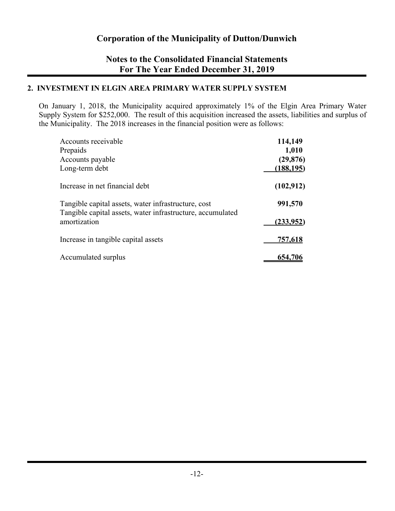## **Notes to the Consolidated Financial Statements For The Year Ended December 31, 2019**

#### **2. INVESTMENT IN ELGIN AREA PRIMARY WATER SUPPLY SYSTEM**

On January 1, 2018, the Municipality acquired approximately 1% of the Elgin Area Primary Water Supply System for \$252,000. The result of this acquisition increased the assets, liabilities and surplus of the Municipality. The 2018 increases in the financial position were as follows:

| Accounts receivable                                                                                               | 114,149    |
|-------------------------------------------------------------------------------------------------------------------|------------|
| Prepaids                                                                                                          | 1,010      |
| Accounts payable                                                                                                  | (29, 876)  |
| Long-term debt                                                                                                    | (188, 195) |
| Increase in net financial debt                                                                                    | (102, 912) |
| Tangible capital assets, water infrastructure, cost<br>Tangible capital assets, water infrastructure, accumulated | 991,570    |
| amortization                                                                                                      | (233,952)  |
| Increase in tangible capital assets                                                                               | 757,618    |
| Accumulated surplus                                                                                               | 654,706    |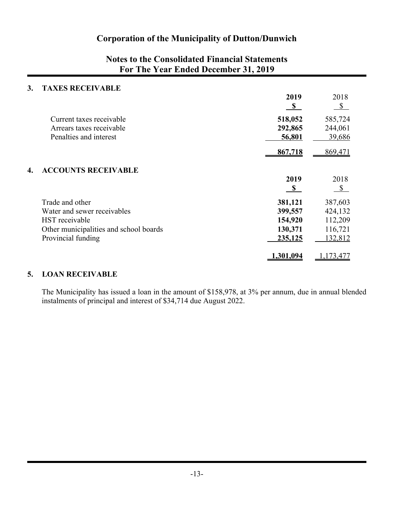## **Notes to the Consolidated Financial Statements For The Year Ended December 31, 2019**

#### **3. TAXES RECEIVABLE**

|                                        | 2019<br>$\mathbf{s}$ | 2018<br>$\mathcal{S}$ |
|----------------------------------------|----------------------|-----------------------|
| Current taxes receivable               | 518,052              | 585,724               |
| Arrears taxes receivable               | 292,865              | 244,061               |
| Penalties and interest                 | 56,801               | 39,686                |
|                                        | 867,718              | 869,471               |
| <b>ACCOUNTS RECEIVABLE</b><br>4.       |                      |                       |
|                                        | 2019                 | 2018                  |
|                                        | $\mathbf{s}$         | $\mathbb{S}$          |
| Trade and other                        | 381,121              | 387,603               |
| Water and sewer receivables            | 399,557              | 424,132               |
| HST receivable                         | 154,920              | 112,209               |
| Other municipalities and school boards | 130,371              | 116,721               |
| Provincial funding                     | 235,125              | 132,812               |
|                                        | 1,301,094            | .173,477              |

#### **5. LOAN RECEIVABLE**

The Municipality has issued a loan in the amount of \$158,978, at 3% per annum, due in annual blended instalments of principal and interest of \$34,714 due August 2022.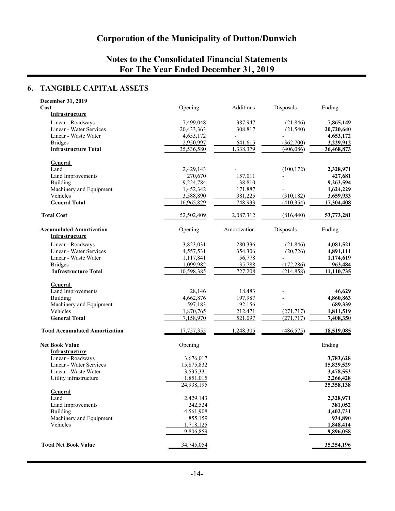## **Notes to the Consolidated Financial Statements For The Year Ended December 31, 2019**

## **6. TANGIBLE CAPITAL ASSETS**

| December 31, 2019                       |            |              |            |                      |
|-----------------------------------------|------------|--------------|------------|----------------------|
| Cost                                    | Opening    | Additions    | Disposals  | Ending               |
| Infrastructure                          |            |              |            |                      |
| Linear - Roadways                       | 7,499,048  | 387,947      | (21, 846)  | 7,865,149            |
| Linear - Water Services                 | 20,433,363 | 308,817      | (21, 540)  | 20,720,640           |
| Linear - Waste Water                    | 4,653,172  |              |            | 4,653,172            |
| <b>Bridges</b>                          | 2,950,997  | 641,615      | (362,700)  | 3,229,912            |
| <b>Infrastructure Total</b>             | 35,536,580 | 1,338,379    | (406, 086) | 36,468,873           |
|                                         |            |              |            |                      |
| <b>General</b>                          |            |              |            |                      |
| Land                                    | 2,429,143  |              | (100, 172) | 2,328,971            |
| Land Improvements                       | 270,670    | 157,011      |            | 427,681              |
| Building                                |            | 38,810       |            | 9,263,594            |
|                                         | 9,224,784  |              |            |                      |
| Machinery and Equipment                 | 1,452,342  | 171,887      |            | 1,624,229            |
| Vehicles                                | 3,588,890  | 381,225      | (310, 182) | 3,659,933            |
| <b>General Total</b>                    | 16,965,829 | 748,933      | (410, 354) | 17,304,408           |
| <b>Total Cost</b>                       | 52,502,409 | 2,087,312    | (816, 440) | 53,773,281           |
| <b>Accumulated Amortization</b>         | Opening    | Amortization | Disposals  | Ending               |
| <b>Infrastructure</b>                   |            |              |            |                      |
| Linear - Roadways                       | 3,823,031  | 280,336      | (21, 846)  | 4,081,521            |
| Linear - Water Services                 | 4,557,531  | 354,306      | (20, 726)  | 4,891,111            |
| Linear - Waste Water                    | 1,117,841  | 56,778       |            | 1,174,619            |
| <b>Bridges</b>                          | 1,099,982  | 35,788       | (172, 286) | 963,484              |
| <b>Infrastructure Total</b>             | 10,598,385 | 727,208      | (214, 858) | 11,110,735           |
|                                         |            |              |            |                      |
| General                                 |            |              |            |                      |
| Land Improvements                       | 28,146     | 18,483       |            | 46,629               |
| <b>Building</b>                         | 4,662,876  | 197,987      |            | 4,860,863            |
| Machinery and Equipment                 | 597,183    | 92,156       |            | 689,339              |
| Vehicles                                | 1,870,765  | 212,471      | (271, 717) | 1,811,519            |
| <b>General Total</b>                    | 7,158,970  | 521,097      | (271, 717) | 7,408,350            |
| <b>Total Accumulated Amortization</b>   | 17,757,355 | 1,248,305    | (486, 575) | 18,519,085           |
|                                         |            |              |            |                      |
| <b>Net Book Value</b><br>Infrastructure | Opening    |              |            | Ending               |
| Linear - Roadways                       | 3,676,017  |              |            | 3,783,628            |
| Linear - Water Services                 | 15,875,832 |              |            | 15,829,529           |
| Linear - Waste Water                    | 3,535,331  |              |            | 3,478,553            |
| Utility infrastructure                  | 1,851,015  |              |            | 2,266,428            |
|                                         | 24,938,195 |              |            | 25,358,138           |
| General                                 |            |              |            |                      |
| Land                                    | 2,429,143  |              |            |                      |
| Land Improvements                       | 242,524    |              |            | 2,328,971<br>381,052 |
|                                         | 4,561,908  |              |            | 4,402,731            |
| <b>Building</b>                         |            |              |            |                      |
| Machinery and Equipment                 | 855,159    |              |            | 934,890              |
| Vehicles                                | 1,718,125  |              |            | 1,848,414            |
|                                         | 9,806,859  |              |            | 9,896,058            |
| <b>Total Net Book Value</b>             | 34,745,054 |              |            | 35,254,196           |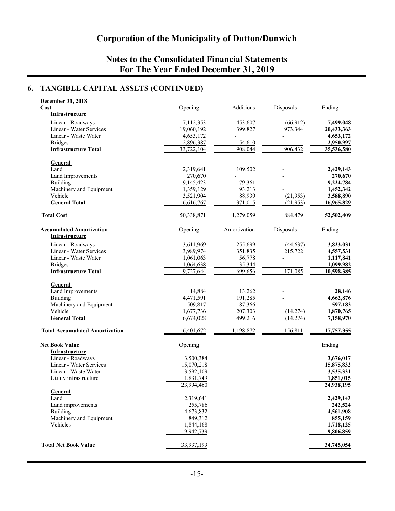## **Notes to the Consolidated Financial Statements For The Year Ended December 31, 2019**

## **6. TANGIBLE CAPITAL ASSETS (CONTINUED)**

| December 31, 2018                     |            |              |           |            |
|---------------------------------------|------------|--------------|-----------|------------|
| Cost                                  | Opening    | Additions    | Disposals | Ending     |
| Infrastructure                        |            |              |           |            |
| Linear - Roadways                     | 7,112,353  | 453,607      | (66, 912) | 7,499,048  |
| Linear - Water Services               | 19,060,192 | 399,827      | 973,344   | 20,433,363 |
| Linear - Waste Water                  | 4,653,172  |              |           | 4,653,172  |
|                                       | 2,896,387  |              |           |            |
| <b>Bridges</b>                        |            | 54,610       |           | 2,950,997  |
| <b>Infrastructure Total</b>           | 33,722,104 | 908,044      | 906,432   | 35,536,580 |
|                                       |            |              |           |            |
| <b>General</b>                        |            |              |           |            |
| Land                                  | 2,319,641  | 109,502      |           | 2,429,143  |
| Land Improvements                     | 270,670    |              |           | 270,670    |
| <b>Building</b>                       | 9,145,423  | 79,361       |           | 9,224,784  |
| Machinery and Equipment               | 1,359,129  | 93,213       |           | 1,452,342  |
| Vehicle                               | 3,521,904  | 88,939       | (21, 953) | 3,588,890  |
| <b>General Total</b>                  | 16,616,767 | 371,015      | (21,953)  | 16,965,829 |
|                                       |            |              |           |            |
| <b>Total Cost</b>                     | 50,338,871 | 1,279,059    | 884,479   | 52,502,409 |
| <b>Accumulated Amortization</b>       | Opening    | Amortization | Disposals | Ending     |
| <b>Infrastructure</b>                 |            |              |           |            |
| Linear - Roadways                     | 3,611,969  | 255,699      | (44, 637) | 3,823,031  |
| Linear - Water Services               | 3,989,974  | 351,835      | 215,722   | 4,557,531  |
| Linear - Waste Water                  | 1,061,063  | 56,778       |           | 1,117,841  |
| <b>Bridges</b>                        |            | 35,344       |           | 1,099,982  |
| <b>Infrastructure Total</b>           | 1,064,638  |              | 171,085   |            |
|                                       | 9,727,644  | 699,656      |           | 10,598,385 |
|                                       |            |              |           |            |
| <b>General</b>                        |            |              |           |            |
| Land Improvements                     | 14,884     | 13,262       |           | 28,146     |
| <b>Building</b>                       | 4,471,591  | 191,285      |           | 4,662,876  |
| Machinery and Equipment               | 509,817    | 87,366       |           | 597,183    |
| Vehicle                               | 1,677,736  | 207,303      | (14,274)  | 1,870,765  |
| <b>General Total</b>                  | 6,674,028  | 499,216      | (14,274)  | 7,158,970  |
| <b>Total Accumulated Amortization</b> | 16,401,672 | 1,198,872    | 156,811   | 17,757,355 |
|                                       |            |              |           |            |
| <b>Net Book Value</b>                 | Opening    |              |           | Ending     |
| <b>Infrastructure</b>                 |            |              |           |            |
| Linear - Roadways                     | 3,500,384  |              |           | 3,676,017  |
| Linear - Water Services               |            |              |           |            |
|                                       | 15,070,218 |              |           | 15,875,832 |
| Linear - Waste Water                  | 3,592,109  |              |           | 3,535,331  |
| Utility infrastructure                | 1,831,749  |              |           | 1,851,015  |
|                                       | 23,994,460 |              |           | 24,938,195 |
| General                               |            |              |           |            |
| Land                                  | 2,319,641  |              |           | 2,429,143  |
| Land improvements                     | 255,786    |              |           | 242,524    |
| <b>Building</b>                       | 4,673,832  |              |           | 4,561,908  |
| Machinery and Equipment               | 849,312    |              |           | 855,159    |
| Vehicles                              | 1,844,168  |              |           | 1,718,125  |
|                                       | 9,942,739  |              |           | 9,806,859  |
| <b>Total Net Book Value</b>           | 33,937,199 |              |           | 34,745,054 |
|                                       |            |              |           |            |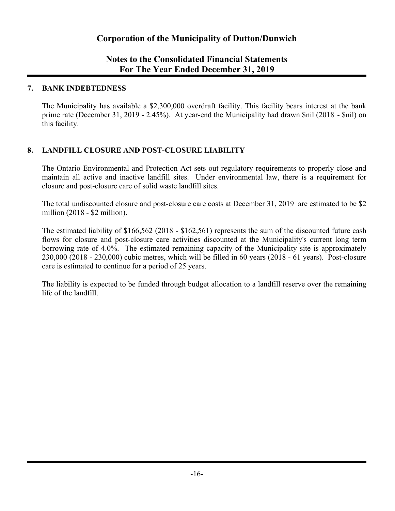## **Notes to the Consolidated Financial Statements For The Year Ended December 31, 2019**

#### **7. BANK INDEBTEDNESS**

The Municipality has available a \$2,300,000 overdraft facility. This facility bears interest at the bank prime rate (December 31, 2019 - 2.45%). At year-end the Municipality had drawn \$nil (2018 - \$nil) on this facility.

#### **8. LANDFILL CLOSURE AND POST-CLOSURE LIABILITY**

The Ontario Environmental and Protection Act sets out regulatory requirements to properly close and maintain all active and inactive landfill sites. Under environmental law, there is a requirement for closure and post-closure care of solid waste landfill sites.

The total undiscounted closure and post-closure care costs at December 31, 2019 are estimated to be \$2 million (2018 - \$2 million).

The estimated liability of \$166,562 (2018 - \$162,561) represents the sum of the discounted future cash flows for closure and post-closure care activities discounted at the Municipality's current long term borrowing rate of 4.0%. The estimated remaining capacity of the Municipality site is approximately 230,000 (2018 - 230,000) cubic metres, which will be filled in 60 years (2018 - 61 years). Post-closure care is estimated to continue for a period of 25 years.

The liability is expected to be funded through budget allocation to a landfill reserve over the remaining life of the landfill.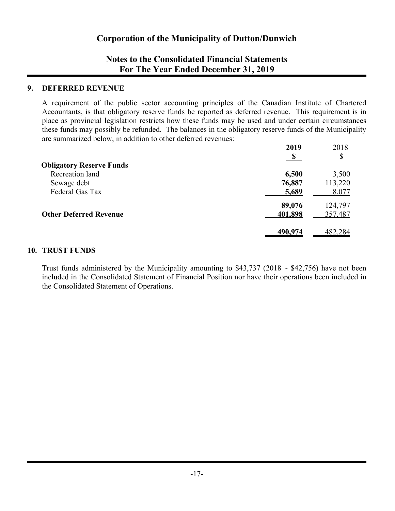## **Notes to the Consolidated Financial Statements For The Year Ended December 31, 2019**

#### **9. DEFERRED REVENUE**

A requirement of the public sector accounting principles of the Canadian Institute of Chartered Accountants, is that obligatory reserve funds be reported as deferred revenue. This requirement is in place as provincial legislation restricts how these funds may be used and under certain circumstances these funds may possibly be refunded. The balances in the obligatory reserve funds of the Municipality are summarized below, in addition to other deferred revenues:

| 2019    | 2018          |
|---------|---------------|
|         | $\mathcal{S}$ |
|         |               |
| 6,500   | 3,500         |
| 76,887  | 113,220       |
| 5,689   | 8,077         |
| 89,076  | 124,797       |
| 401,898 | 357,487       |
|         | 482,284       |
|         | 490,974       |

#### **10. TRUST FUNDS**

Trust funds administered by the Municipality amounting to \$43,737 (2018 - \$42,756) have not been included in the Consolidated Statement of Financial Position nor have their operations been included in the Consolidated Statement of Operations.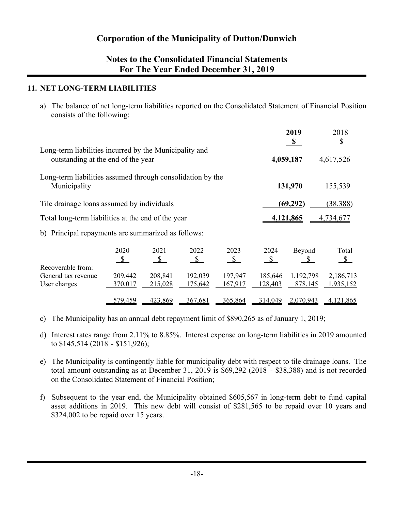## **Notes to the Consolidated Financial Statements For The Year Ended December 31, 2019**

#### **11. NET LONG-TERM LIABILITIES**

a) The balance of net long-term liabilities reported on the Consolidated Statement of Financial Position consists of the following:

|                                                                                              |                       |                    |                              |                       |                       | 2019<br>$\mathbf{s}$             | 2018<br>\$             |  |
|----------------------------------------------------------------------------------------------|-----------------------|--------------------|------------------------------|-----------------------|-----------------------|----------------------------------|------------------------|--|
| Long-term liabilities incurred by the Municipality and<br>outstanding at the end of the year |                       |                    |                              |                       |                       | 4,059,187                        | 4,617,526              |  |
| Long-term liabilities assumed through consolidation by the<br>Municipality                   |                       |                    |                              |                       |                       | 131,970                          | 155,539                |  |
| Tile drainage loans assumed by individuals                                                   |                       |                    |                              |                       |                       | (69, 292)                        | (38, 388)              |  |
| Total long-term liabilities at the end of the year                                           |                       |                    |                              |                       |                       | 4,121,865<br>4,734,677           |                        |  |
| b) Principal repayments are summarized as follows:                                           |                       |                    |                              |                       |                       |                                  |                        |  |
| Recoverable from:                                                                            | 2020<br>$\mathcal{S}$ | 2021<br>S          | 2022<br>$\sqrt{\frac{2}{2}}$ | 2023<br>$\mathcal{S}$ | 2024<br>$\mathcal{S}$ | Beyond<br>$\mathbf{\mathcal{L}}$ | Total<br>$\mathcal{S}$ |  |
| General tax revenue<br>User charges                                                          | 209,442<br>370,017    | 208,841<br>215,028 | 192,039<br>175,642           | 197,947<br>167,917    | 185,646<br>128,403    | 1,192,798<br>878,145             | 2,186,713<br>1,935,152 |  |
|                                                                                              | 579,459               | 423,869            | 367,681                      | 365,864               | 314,049               | 2,070,943                        | 4,121,865              |  |

- c) The Municipality has an annual debt repayment limit of \$890,265 as of January 1, 2019;
- d) Interest rates range from 2.11% to 8.85%. Interest expense on long-term liabilities in 2019 amounted to \$145,514 (2018 - \$151,926);
- e) The Municipality is contingently liable for municipality debt with respect to tile drainage loans. The total amount outstanding as at December 31, 2019 is \$69,292 (2018 - \$38,388) and is not recorded on the Consolidated Statement of Financial Position;
- f) Subsequent to the year end, the Municipality obtained \$605,567 in long-term debt to fund capital asset additions in 2019. This new debt will consist of \$281,565 to be repaid over 10 years and \$324,002 to be repaid over 15 years.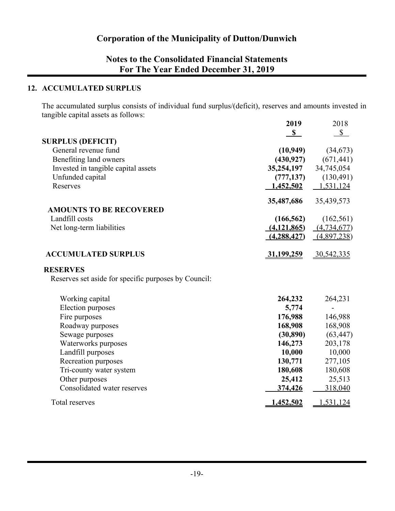## **Notes to the Consolidated Financial Statements For The Year Ended December 31, 2019**

#### **12. ACCUMULATED SURPLUS**

The accumulated surplus consists of individual fund surplus/(deficit), reserves and amounts invested in tangible capital assets as follows:

|                                                      | 2019              | 2018         |
|------------------------------------------------------|-------------------|--------------|
|                                                      | $\mathbf S$       | $\mathbb{S}$ |
| <b>SURPLUS (DEFICIT)</b>                             |                   |              |
| General revenue fund                                 | (10, 949)         | (34, 673)    |
| Benefiting land owners                               | (430, 927)        | (671, 441)   |
| Invested in tangible capital assets                  | 35,254,197        | 34,745,054   |
| Unfunded capital                                     | (777, 137)        | (130, 491)   |
| Reserves                                             | 1,452,502         | 1,531,124    |
|                                                      | 35,487,686        | 35,439,573   |
| <b>AMOUNTS TO BE RECOVERED</b>                       |                   |              |
| Landfill costs                                       | (166, 562)        | (162, 561)   |
| Net long-term liabilities                            | (4,121,865)       | (4,734,677)  |
|                                                      | (4, 288, 427)     | (4,897,238)  |
| <b>ACCUMULATED SURPLUS</b>                           | <u>31,199,259</u> | 30,542,335   |
| <b>RESERVES</b>                                      |                   |              |
| Reserves set aside for specific purposes by Council: |                   |              |
| Working capital                                      | 264,232           | 264,231      |
| Election purposes                                    | 5,774             |              |
| Fire purposes                                        | 176,988           | 146,988      |
| Roadway purposes                                     | 168,908           | 168,908      |
| Sewage purposes                                      | (30, 890)         | (63, 447)    |
| Waterworks purposes                                  | 146,273           | 203,178      |
| Landfill purposes                                    | 10,000            | 10,000       |
| Recreation purposes                                  | 130,771           | 277,105      |
| Tri-county water system                              | 180,608           | 180,608      |
| Other purposes                                       | 25,412            | 25,513       |
| Consolidated water reserves                          | 374,426           | 318,040      |
| Total reserves                                       | 1,452,502         | 1,531,124    |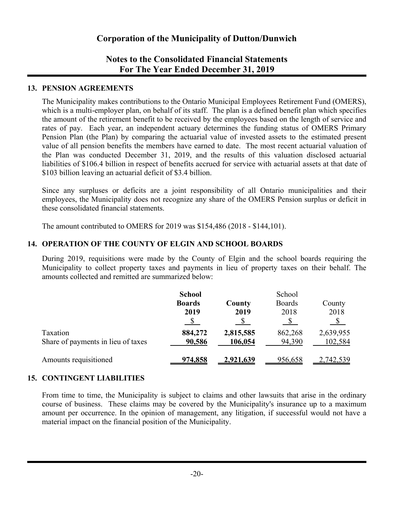## **Notes to the Consolidated Financial Statements For The Year Ended December 31, 2019**

#### **13. PENSION AGREEMENTS**

The Municipality makes contributions to the Ontario Municipal Employees Retirement Fund (OMERS), which is a multi-employer plan, on behalf of its staff. The plan is a defined benefit plan which specifies the amount of the retirement benefit to be received by the employees based on the length of service and rates of pay. Each year, an independent actuary determines the funding status of OMERS Primary Pension Plan (the Plan) by comparing the actuarial value of invested assets to the estimated present value of all pension benefits the members have earned to date. The most recent actuarial valuation of the Plan was conducted December 31, 2019, and the results of this valuation disclosed actuarial liabilities of \$106.4 billion in respect of benefits accrued for service with actuarial assets at that date of \$103 billion leaving an actuarial deficit of \$3.4 billion.

Since any surpluses or deficits are a joint responsibility of all Ontario municipalities and their employees, the Municipality does not recognize any share of the OMERS Pension surplus or deficit in these consolidated financial statements.

The amount contributed to OMERS for 2019 was \$154,486 (2018 - \$144,101).

#### **14. OPERATION OF THE COUNTY OF ELGIN AND SCHOOL BOARDS**

During 2019, requisitions were made by the County of Elgin and the school boards requiring the Municipality to collect property taxes and payments in lieu of property taxes on their behalf. The amounts collected and remitted are summarized below:

|                                                | <b>School</b><br><b>Boards</b><br>2019 | County<br>2019       | School<br><b>Boards</b><br>2018 | County<br>2018       |
|------------------------------------------------|----------------------------------------|----------------------|---------------------------------|----------------------|
| Taxation<br>Share of payments in lieu of taxes | 884,272<br>90,586                      | 2,815,585<br>106,054 | 862,268<br>94,390               | 2,639,955<br>102,584 |
| Amounts requisitioned                          | 974,858                                | 2,921,639            | 956,658                         | 2,742,539            |

#### **15. CONTINGENT LIABILITIES**

From time to time, the Municipality is subject to claims and other lawsuits that arise in the ordinary course of business. These claims may be covered by the Municipality's insurance up to a maximum amount per occurrence. In the opinion of management, any litigation, if successful would not have a material impact on the financial position of the Municipality.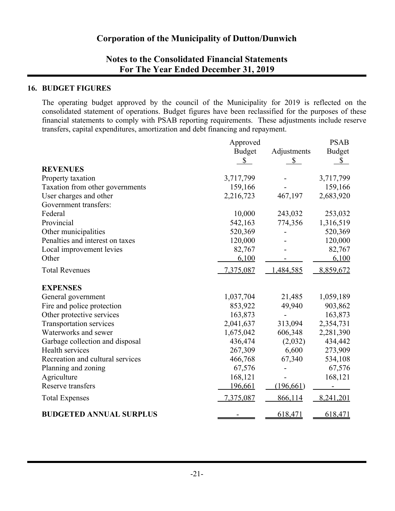## **Notes to the Consolidated Financial Statements For The Year Ended December 31, 2019**

#### **16. BUDGET FIGURES**

The operating budget approved by the council of the Municipality for 2019 is reflected on the consolidated statement of operations. Budget figures have been reclassified for the purposes of these financial statements to comply with PSAB reporting requirements. These adjustments include reserve transfers, capital expenditures, amortization and debt financing and repayment.

|                                  | Approved      |              | <b>PSAB</b>   |
|----------------------------------|---------------|--------------|---------------|
|                                  | <b>Budget</b> | Adjustments  | <b>Budget</b> |
|                                  | $\mathbb{S}$  | $\mathbb{S}$ | $\mathbb{S}$  |
| <b>REVENUES</b>                  |               |              |               |
| Property taxation                | 3,717,799     |              | 3,717,799     |
| Taxation from other governments  | 159,166       |              | 159,166       |
| User charges and other           | 2,216,723     | 467,197      | 2,683,920     |
| Government transfers:            |               |              |               |
| Federal                          | 10,000        | 243,032      | 253,032       |
| Provincial                       | 542,163       | 774,356      | 1,316,519     |
| Other municipalities             | 520,369       |              | 520,369       |
| Penalties and interest on taxes  | 120,000       |              | 120,000       |
| Local improvement levies         | 82,767        |              | 82,767        |
| Other                            | 6,100         |              | 6,100         |
| <b>Total Revenues</b>            | 7,375,087     | 1,484,585    | 8,859,672     |
| <b>EXPENSES</b>                  |               |              |               |
| General government               | 1,037,704     | 21,485       | 1,059,189     |
| Fire and police protection       | 853,922       | 49,940       | 903,862       |
| Other protective services        | 163,873       |              | 163,873       |
| <b>Transportation services</b>   | 2,041,637     | 313,094      | 2,354,731     |
| Waterworks and sewer             | 1,675,042     | 606,348      | 2,281,390     |
| Garbage collection and disposal  | 436,474       | (2,032)      | 434,442       |
| Health services                  | 267,309       | 6,600        | 273,909       |
| Recreation and cultural services | 466,768       | 67,340       | 534,108       |
| Planning and zoning              | 67,576        |              | 67,576        |
| Agriculture                      | 168,121       |              | 168,121       |
| Reserve transfers                | 196,661       | (196, 661)   |               |
| <b>Total Expenses</b>            | 7,375,087     | 866,114      | 8,241,201     |
| <b>BUDGETED ANNUAL SURPLUS</b>   |               | 618,471      | 618,471       |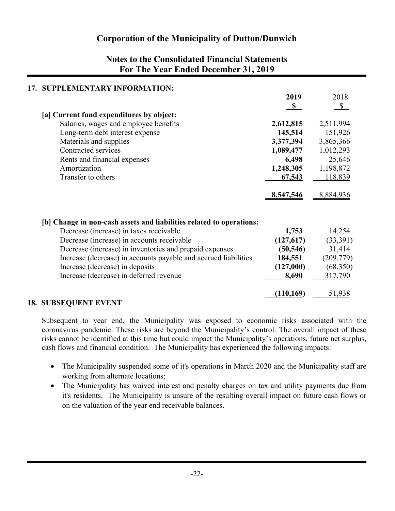## **Notes to the Consolidated Financial Statements For The Year Ended December 31, 2019**

| 17. SUPPLEMENTARY INFORMATION:                                       |              |               |
|----------------------------------------------------------------------|--------------|---------------|
|                                                                      | 2019         | 2018          |
|                                                                      | $\mathbf{s}$ | $\mathcal{S}$ |
| [a] Current fund expenditures by object:                             |              |               |
| Salaries, wages and employee benefits                                | 2,612,815    | 2,511,994     |
| Long-term debt interest expense                                      | 145,514      | 151,926       |
| Materials and supplies                                               | 3,377,394    | 3,865,366     |
| Contracted services                                                  | 1,089,477    | 1,012,293     |
| Rents and financial expenses                                         | 6,498        | 25,646        |
| Amortization                                                         | 1,248,305    | 1,198,872     |
| Transfer to others                                                   | 67,543       | 118,839       |
|                                                                      |              |               |
|                                                                      | 8,547,546    | 8,884,936     |
|                                                                      |              |               |
|                                                                      |              |               |
| [b] Change in non-cash assets and liabilities related to operations: |              |               |
| Decrease (increase) in taxes receivable                              | 1,753        | 14,254        |
| Decrease (increase) in accounts receivable                           | (127,617)    | (33,391)      |
| Decrease (increase) in inventories and prepaid expenses              | (50, 546)    | 31,414        |
| Increase (decrease) in accounts payable and accrued liabilities      | 184,551      | (209, 779)    |
| Increase (decrease) in deposits                                      | (127,000)    | (68,350)      |
| Increase (decrease) in deferred revenue                              | 8,690        | 317,790       |
|                                                                      |              |               |
|                                                                      | (110, 169)   | 51,938        |

#### **18. SUBSEQUENT EVENT**

Subsequent to year end, the Municipality was exposed to economic risks associated with the coronavirus pandemic. These risks are beyond the Municipality's control. The overall impact of these risks cannot be identified at this time but could impact the Municipality's operations, future net surplus, cash flows and financial condition. The Municipality has experienced the following impacts:

- The Municipality suspended some of it's operations in March 2020 and the Municipality staff are working from alternate locations;
- The Municipality has waived interest and penalty charges on tax and utility payments due from it's residents. The Municipality is unsure of the resulting overall impact on future cash flows or on the valuation of the year end receivable balances.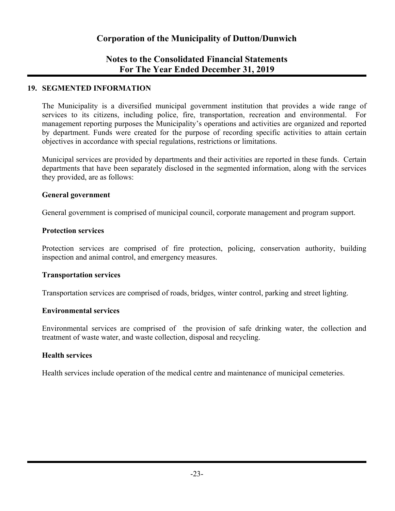## **Notes to the Consolidated Financial Statements For The Year Ended December 31, 2019**

#### **19. SEGMENTED INFORMATION**

The Municipality is a diversified municipal government institution that provides a wide range of services to its citizens, including police, fire, transportation, recreation and environmental. For management reporting purposes the Municipality's operations and activities are organized and reported by department. Funds were created for the purpose of recording specific activities to attain certain objectives in accordance with special regulations, restrictions or limitations.

Municipal services are provided by departments and their activities are reported in these funds. Certain departments that have been separately disclosed in the segmented information, along with the services they provided, are as follows:

#### **General government**

General government is comprised of municipal council, corporate management and program support.

#### **Protection services**

Protection services are comprised of fire protection, policing, conservation authority, building inspection and animal control, and emergency measures.

#### **Transportation services**

Transportation services are comprised of roads, bridges, winter control, parking and street lighting.

#### **Environmental services**

Environmental services are comprised of the provision of safe drinking water, the collection and treatment of waste water, and waste collection, disposal and recycling.

#### **Health services**

Health services include operation of the medical centre and maintenance of municipal cemeteries.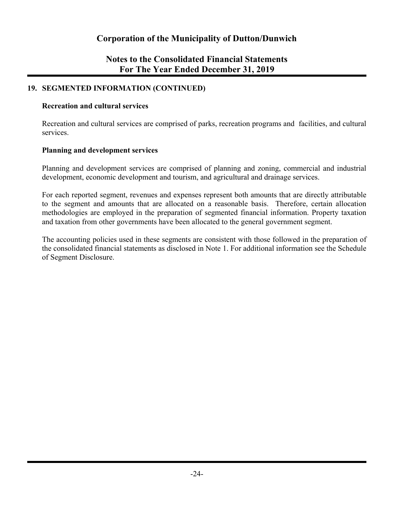## **Notes to the Consolidated Financial Statements For The Year Ended December 31, 2019**

#### **19. SEGMENTED INFORMATION (CONTINUED)**

#### **Recreation and cultural services**

Recreation and cultural services are comprised of parks, recreation programs and facilities, and cultural services.

#### **Planning and development services**

Planning and development services are comprised of planning and zoning, commercial and industrial development, economic development and tourism, and agricultural and drainage services.

For each reported segment, revenues and expenses represent both amounts that are directly attributable to the segment and amounts that are allocated on a reasonable basis. Therefore, certain allocation methodologies are employed in the preparation of segmented financial information. Property taxation and taxation from other governments have been allocated to the general government segment.

The accounting policies used in these segments are consistent with those followed in the preparation of the consolidated financial statements as disclosed in Note 1. For additional information see the Schedule of Segment Disclosure.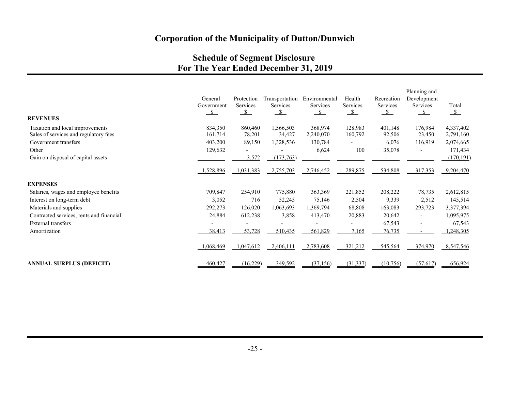## **Schedule of Segment Disclosure For The Year Ended December 31, 2019**

|                                                                          | General<br>Government<br>$\mathcal{S}$ | Protection<br>Services<br>$\mathcal{S}$ | Transportation<br>Services<br>$\mathcal{S}$ | Environmental<br>Services<br>$\mathcal{S}$ | Health<br>Services<br>$\mathcal{S}$ | Recreation<br>Services<br>$\mathcal{S}$ | Planning and<br>Development<br>Services<br>$\mathbf{s}$ | Total<br>$\mathcal{S}$ |
|--------------------------------------------------------------------------|----------------------------------------|-----------------------------------------|---------------------------------------------|--------------------------------------------|-------------------------------------|-----------------------------------------|---------------------------------------------------------|------------------------|
| <b>REVENUES</b>                                                          |                                        |                                         |                                             |                                            |                                     |                                         |                                                         |                        |
| Taxation and local improvements<br>Sales of services and regulatory fees | 834,350<br>161,714                     | 860,460<br>78,201                       | 1,566,503<br>34,427                         | 368,974<br>2,240,070                       | 128,983<br>160,792                  | 401,148<br>92,506                       | 176,984<br>23,450                                       | 4,337,402<br>2,791,160 |
| Government transfers                                                     | 403,200                                | 89,150                                  | 1,328,536                                   | 130,784                                    |                                     | 6,076                                   | 116,919                                                 | 2,074,665              |
| Other                                                                    | 129,632                                |                                         |                                             | 6,624                                      | 100                                 | 35,078                                  | $\blacksquare$                                          | 171,434                |
| Gain on disposal of capital assets                                       |                                        | 3,572                                   | (173, 763)                                  |                                            |                                     |                                         |                                                         | (170, 191)             |
|                                                                          | 1,528,896                              | 1,031,383                               | 2,755,703                                   | 2,746,452                                  | 289,875                             | 534,808                                 | 317,353                                                 | 9,204,470              |
| <b>EXPENSES</b>                                                          |                                        |                                         |                                             |                                            |                                     |                                         |                                                         |                        |
| Salaries, wages and employee benefits                                    | 709,847                                | 254,910                                 | 775,880                                     | 363,369                                    | 221,852                             | 208,222                                 | 78,735                                                  | 2,612,815              |
| Interest on long-term debt                                               | 3,052                                  | 716                                     | 52,245                                      | 75,146                                     | 2,504                               | 9,339                                   | 2,512                                                   | 145,514                |
| Materials and supplies                                                   | 292,273                                | 126,020                                 | 1,063,693                                   | 1,369,794                                  | 68,808                              | 163,083                                 | 293,723                                                 | 3,377,394              |
| Contracted services, rents and financial                                 | 24,884                                 | 612,238                                 | 3,858                                       | 413,470                                    | 20,883                              | 20,642                                  | $\overline{\phantom{a}}$                                | 1,095,975              |
| <b>External transfers</b>                                                |                                        |                                         |                                             |                                            |                                     | 67,543                                  | $\overline{\phantom{a}}$                                | 67,543                 |
| Amortization                                                             | 38,413                                 | 53,728                                  | 510,435                                     | 561,829                                    | 7,165                               | 76,735                                  |                                                         | 1,248,305              |
|                                                                          | 1,068,469                              | 1,047,612                               | 2,406,111                                   | 2,783,608                                  | 321,212                             | 545,564                                 | 374,970                                                 | 8,547,546              |
| ANNUAL SURPLUS (DEFICIT)                                                 | 460,427                                | (16,229)                                | 349,592                                     | (37, 156)                                  | (31, 337)                           | (10,756)                                | (57, 617)                                               | 656,924                |